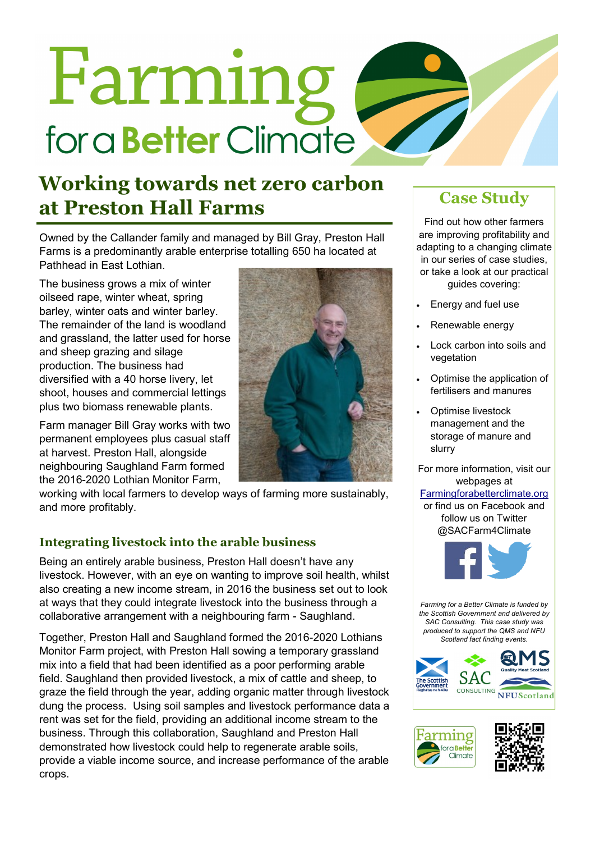# Farming for a **Better** Climate

## **Working towards net zero carbon at Preston Hall Farms Case Study**

Owned by the Callander family and managed by Bill Gray, Preston Hall Farms is a predominantly arable enterprise totalling 650 ha located at Pathhead in East Lothian.

The business grows a mix of winter oilseed rape, winter wheat, spring barley, winter oats and winter barley. The remainder of the land is woodland and grassland, the latter used for horse and sheep grazing and silage production. The business had diversified with a 40 horse livery, let shoot, houses and commercial lettings plus two biomass renewable plants.

Farm manager Bill Gray works with two permanent employees plus casual staff at harvest. Preston Hall, alongside neighbouring Saughland Farm formed the 2016-2020 Lothian Monitor Farm,



working with local farmers to develop ways of farming more sustainably, and more profitably.

### **Integrating livestock into the arable business**

Being an entirely arable business, Preston Hall doesn't have any livestock. However, with an eye on wanting to improve soil health, whilst also creating a new income stream, in 2016 the business set out to look at ways that they could integrate livestock into the business through a collaborative arrangement with a neighbouring farm - Saughland.

Together, Preston Hall and Saughland formed the 2016-2020 Lothians Monitor Farm project, with Preston Hall sowing a temporary grassland mix into a field that had been identified as a poor performing arable field. Saughland then provided livestock, a mix of cattle and sheep, to graze the field through the year, adding organic matter through livestock dung the process. Using soil samples and livestock performance data a rent was set for the field, providing an additional income stream to the business. Through this collaboration, Saughland and Preston Hall demonstrated how livestock could help to regenerate arable soils, provide a viable income source, and increase performance of the arable crops.

Find out how other farmers are improving profitability and adapting to a changing climate in our series of case studies, or take a look at our practical guides covering:

- Energy and fuel use
- Renewable energy
- Lock carbon into soils and vegetation
- Optimise the application of fertilisers and manures
- Optimise livestock management and the storage of manure and slurry

For more information, visit our webpages at

#### [Farmingforabetterclimate.org](http://www.farmingforabetterclimate.org/)

or find us on Facebook and follow us on Twitter @SACFarm4Climate



*Farming for a Better Climate is funded by the Scottish Government and delivered by SAC Consulting. This case study was produced to support the QMS and NFU Scotland fact finding events.*